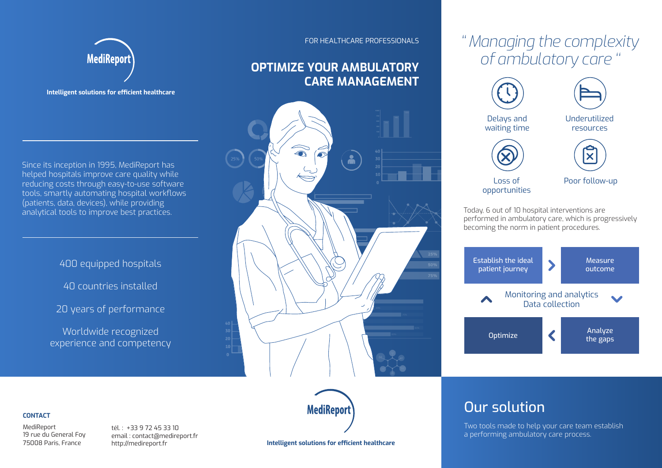# *'' Managing the complexity of ambulatory care ''*





### FOR HEALTHCARE PROFESSIONALS

### **OPTIMIZE YOUR AMBULATORY CARE MANAGEMENT**





**Intelligent solutions for efficient healthcare**

Since its inception in 1995, MediReport has helped hospitals improve care quality while reducing costs through easy-to-use software tools, smartly automating hospital workflows (patients, data, devices), while providing analytical tools to improve best practices.

### 400 equipped hospitals

40 countries installed

20 years of performance

Worldwide recognized experience and competency

### **CONTACT**

MediReport 19 rue du General Foy 75008 Paris, France

tél. : +33 9 72 45 33 10 email : contact@medireport.fr http://medireport.fr



## Our solution

Two tools made to help your care team establish a performing ambulatory care process.

**Intelligent solutions for efficient healthcare**